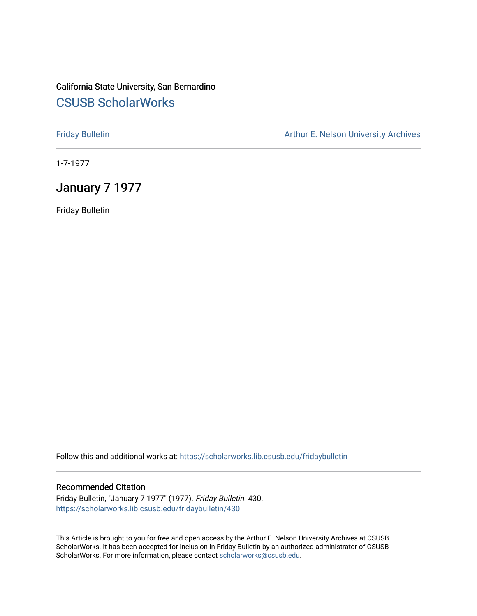# California State University, San Bernardino [CSUSB ScholarWorks](https://scholarworks.lib.csusb.edu/)

[Friday Bulletin](https://scholarworks.lib.csusb.edu/fridaybulletin) **Arthur E. Nelson University Archives** Arthur E. Nelson University Archives

1-7-1977

# January 7 1977

Friday Bulletin

Follow this and additional works at: [https://scholarworks.lib.csusb.edu/fridaybulletin](https://scholarworks.lib.csusb.edu/fridaybulletin?utm_source=scholarworks.lib.csusb.edu%2Ffridaybulletin%2F430&utm_medium=PDF&utm_campaign=PDFCoverPages)

## Recommended Citation

Friday Bulletin, "January 7 1977" (1977). Friday Bulletin. 430. [https://scholarworks.lib.csusb.edu/fridaybulletin/430](https://scholarworks.lib.csusb.edu/fridaybulletin/430?utm_source=scholarworks.lib.csusb.edu%2Ffridaybulletin%2F430&utm_medium=PDF&utm_campaign=PDFCoverPages)

This Article is brought to you for free and open access by the Arthur E. Nelson University Archives at CSUSB ScholarWorks. It has been accepted for inclusion in Friday Bulletin by an authorized administrator of CSUSB ScholarWorks. For more information, please contact [scholarworks@csusb.edu.](mailto:scholarworks@csusb.edu)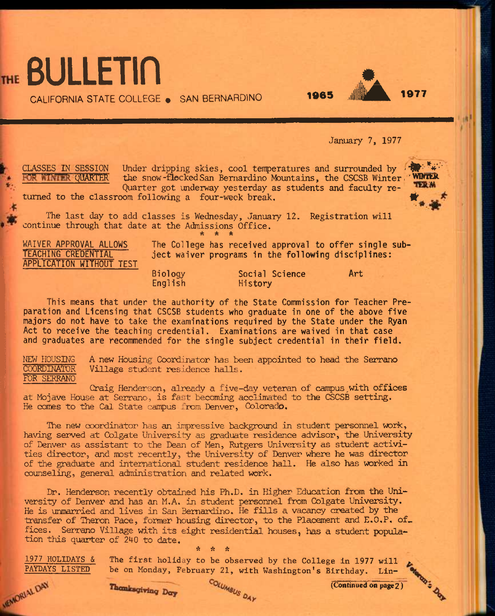



CALIFORNIA STATE COLLEGE · SAN BERNARDINO

January 7, 1977

CLASSES IN SESSION Under dripping skies, cool temperatures and surrounded by  $\mathbf{w}^*$ . the snow-flocked San Bernardino Mountains, the CSCSB Winter : ' WINTER Quarter got underway yesterday as students and faculty re-



turned to the classroom following a four-week break.

The last day to add classes is Wednesday, January 12. Registration will continue through that date at the Admissions Office. *•k \* \** 

**APPLICATION WITHOUT TEST** 

WAIVER APPROVAL ALLOWS The College has received approval to offer single sub-<br>TEACHING CREDENTIAL the tect waiver programs in the following disciplines: **The CEACH CREDENT CREDENT CORRELLY** in the following disciplines:

> **Biology Social Science Art English History**

**This means that under the authority of the State Commission for Teacher Preparation and Licensing that CSCSB students who graduate in one of the above five majors do not have to take the examinations required by the State under the Ryan Act to receive the teaching credential. Examinations are waived in that case and graduates are recommended for the single subject credential in their field.** 

NEW HOUSING A new Housing Coordinator has been appointed to head the Serrano Village student residence halls. FOR SERRANO

Craig Henderson, already a five-day veteran of campus with offices at Mojave House at Serrano, is fast becoming acclimated to the CSCSB setting. He comes to the Cal State campus from Denver, Colorado.

The new coordinator has an impressive background in student personnel work, having served at Colgate University as graduate residence advisor, the University of Denver as assistant to the Dean of Men, Rutgers University as student activities director, and most recently, the University of Denver where he was director of the graduate and international student residence hall. He also has worked in counseling, general administration and related work.

Dr. Henderson recently obtained his Ph.D. in Higher Education from the University of Denver and has an M.A. in student personnel from Colgate University. Ife is unnarried and lives in San Bernardino. He fills a vacancy created by the transfer of Theron Pace, former housing director, to the Placement and E.O.P. of. fices. Serrano Village with its eight residential houses, has a student population this quarter of 240 to date.

**1977 HOLIDAYS & The first holiday to be observed by the College in 1977 will PAYDAYS LISTED** be on Monday, February 21, with Washington's Birthday. Lin-

ft ft A

**PAYDAYS LISTED** be on Monday, February 21, with Washington's Birthday. Lin-<br>Collinued on page 2<br>WANCRIALDINGLY CONTINUES e in  $\frac{1}{\text{int} \cdot \text{C} \cdot \text{C} \cdot \text{C}}$ <br>(Continued on page 2)

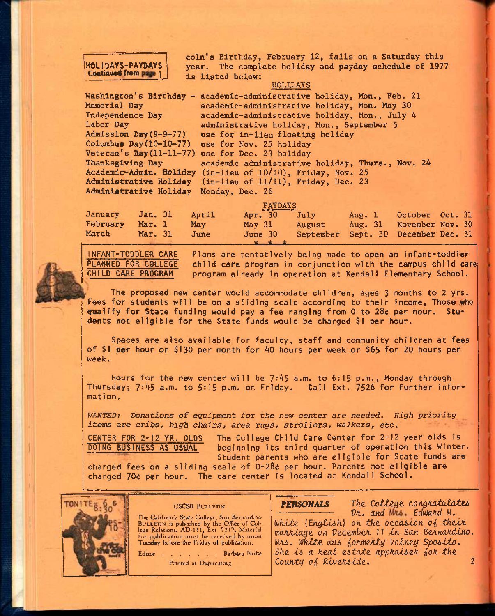## **HOLIDAYS-PAYDAYS**  Continued from page 1

**coin's Birthday, February 12, falls on a Saturday this year. The complete holiday and payday schedule of 1977 is listed below:** 

### **HOLIDAYS**

**Washington's Birthday - academic-administrative holiday, Hon,, Feb. 21 Memorial Day Independence Day Labor Day Admission Day(9-9-77) Columbus Day(10-10-77) 24 Thanksgiving Day academic administrative holiday, Thurs., Nov. academic-administrative holiday, Mon. May 30 academic-administrative holiday, Mon., July 4 administrative holiday, Mon., September 5 use for in-lieu floating holiday use for Nov. 25 holiday Veteran's BAy(ll-ll-77) use for Dec. 23 holiday Academic-Admin. Holiday (in-lleu of 10/10), Friday, Nov. 25 Administrative Holiday (in-lieu of 11/11), Friday, Dec. 23 Administrative Holiday Monday, Dec, 26** 

|          |         |       | <b>PAYDAYS</b>    |           |           |                  |  |
|----------|---------|-------|-------------------|-----------|-----------|------------------|--|
| January  | Jan. 31 | April | Apr. 30           | July      | Aug. $1$  | October Oct. 31  |  |
| February | Mar. 1  | May   | May <sub>31</sub> | August    | Aug. $31$ | November Nov. 30 |  |
| March    | Mar. 31 | June  | June 30           | September | Sept. 30  | December Dec. 31 |  |
|          |         |       |                   |           |           |                  |  |

NfANT-TODDLER CARE PLANNED FOR COLLEGE CHILD CARE PROGRAM

Plans are tentatively being made to open an Infant-toddler child care program in conjunction with the campus child care program already in operation at Kendall Elementary School.

The proposed new center would accommodate children, ages 3 months to 2 yrs. fees for students will be on a sliding scale according to their Income, Those who qualify for State funding would pay a fee ranging from 0 to 28< per hour. Students not eligible for the State funds would be charged \$1 per hour.

Spaces are also available for faculty, staff and community children at fees of \$1 per hour or \$130 per month for 40 hours per week or \$65 for 20 hours per week.

Hours for the new center will be  $7:45$  a.m. to  $6:15$  p.m., Monday through Thursday; 7:45 a.m. to 5:15 p.m. on Friday. Call Ext. 7526 for further information.

*WANTED: Donations of equipment for the new center are needed. High priority items are* cribs, *high chairs, area rugs, strollers, walkers, etc.* 

CENTER FOR 2-12 YR. OLDS DOING BUSINESS AS USUAL The College Child Care Center for 2-12 year olds is beginning Its third quarter of operation this Winter. Student parents who are eligible for State funds are

charged fees on a sliding scale of 0-28< per hour. Parents not eligible are charged 70¢ per hour. The care center is located at Kendall School.



### CSCSB BULLETIN

**The** California State College, San Bernardino BULLETIN is published by the Office of College Relations, AD'151, Ext. 7217. Material for publication must be received by noon **Tuesday** before the Friday of publication.

Editor . . . . . . Barbara Nolte Printed at Duplicating

## **PERSONALS** The College congratulates

Dr. and Mrs. Edward M. White (English) on the occasion of their *moAAtage on VecembeA 17 tn* Son *BeAnoAcUno. Ma6. lilklte* cm *ioAmeily l/olney Spo^ito. She t6 a Aeal estate appAotseA ^oA the County of Riverside.* 2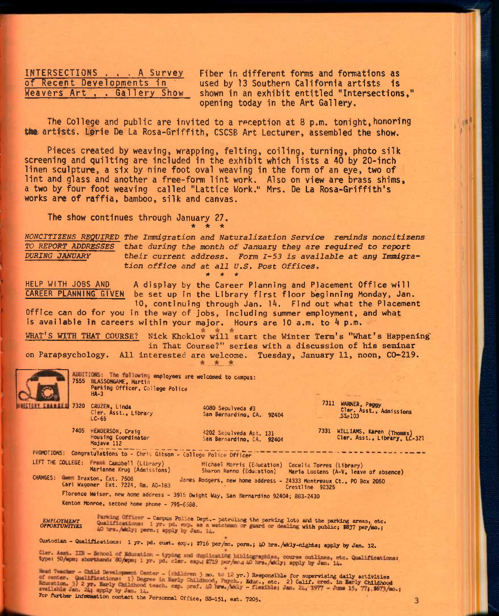**INTERSECTIONS , . . A Survey of Recent Developments in Weavers Art , . Gatllery Show**  **Fiber in different forms and formations as used by 13 Southern California artists Is shown in an exhibit entitled "Intersections," opening today in the Art Gallery.** 

The College and public are invited to a reception at 8 p.m. tonight, honoring the artists. Lorie De La Rosa-Griffith, CSCSB Art Lecturer, assembled the show.

**Pieces created by weaving, wrapping, felting, coiling, turning, photo silk screening and quilting are included in the exhibit which lists a 40 by 20-inch linen sculpture, a six by nine foot oval weaving in the form of an eye, two of lint and glass and another a free-form lint work. Also on view are brass shims, a two by four foot weaving called "Lattice Work." Mrs. De La Rosa-Griffith's works are of raffia, bamboo, silk and canvas.** 

**The show continues through January 27.**  *\* \* \** 

*NONCTTIZENS REQUIRED The Inanigration and Naturalization Service reninds noncitizens TO REPORT ADDRESSES that during the month of January they are required to report*  their current address. Form I-53 is available at any Immigra*tion office and at all U.S. Post Offices. It W it* 

HELP WITH JOBS AND A display by the Career Planning and Placement Office will<br>CAREER PLANNING GIVEN be set up in the Library first floor beginning Monday, Jan be set up in the Library first floor beginning Monday, Jan. 10, continuing through Jan. 14. Find out what the Placement

Office can do for you in the way of jobs, including summer employment, and what is available in careers within your major. Hours are 10 a.m. to 4 p.m.

WHAT'S WITH THAT COURSE? Nick Khoklov will start the Winter Term's "What's Happening" **in That Course?" series with a discussion of his seminar** 

**on Parapsychology. All interested are welcome. Tuesday, January 11, noon, CO-219.** 



employees are welcomed to campus: 7555 BtASS(M<6AME, Martin Perking Officer, College Police

Cler. Asst., Library LC-65

HA-3

7405 HENDERSON, Craig Housing Coordinator

4080 Sepulveda #3 San Bernardino, CA. 92404

4202 Sepulveda Apt. 131 San Bernardino, CA. 92404 7311 WARNER, Peggy Cler. Asst., Admissions u.

7331 WILLIAMS, Karen (Thomas) Cler. Asst., Library, LC-321

 $\overline{\mathbf{3}}$ 

PROMOTIONS: Congratulations to - Chris Gibson - College Police Officer  $------$ <br>LEFT THE COLLEGE: Frank Campbell (Library) Michael Morris (Education) Co

Mojave 112

CHANGES: Green Braxton, Ext. 7508<br>Carl Wagoner Ext. 7224, Rm. AD-183

Frank Campbell (Library) Michael Morris (Education) Cecelia Torres (Library)<br>Marianne Krug (Admissions) Sharon Renno (Education) Maria Lootens (A-V, leave

Maria Lootens (A-V, leave of absence) James Rodgers, new home address - 24333 Montreaux Ct., PO Box 2050

Florence Weiser, new home address - 3915 Dwight Way, San Bernardino 92404; 883-2430

Kenton Monroe, second home phone - 795-6688.

**EMPLOYMENT** *OPPORTUNITIES*  Parking Officer - Campus Police Dept.- patroling the parking lots and the parking areas, etc. Qualifications: 1 yr. pd. exp. as a watchman or guard or dealing with public; \$837 per/mo.; 40 hrs. Addy; perm<sub>-;</sub> apply by Jan. 14.

Custodian - Qualifications: 1 yr. pd. cust. exp.; \$716 per/mo. perm.; 40 hrs./skly-nights; apply by Jan. 12.<br>Cler. Asst. IIB - School of Education - typing and duplicating bibliographies, course outlines, etc. Qualificatio

• (children 3 mo. to 12 yr.) Responsible for supervising daily activities a Early Childhood, Paych., Educ., etc. 2) Calif. ared, in Early Childhood For further information contact the Personnel Office, SS-151, ext. 7205.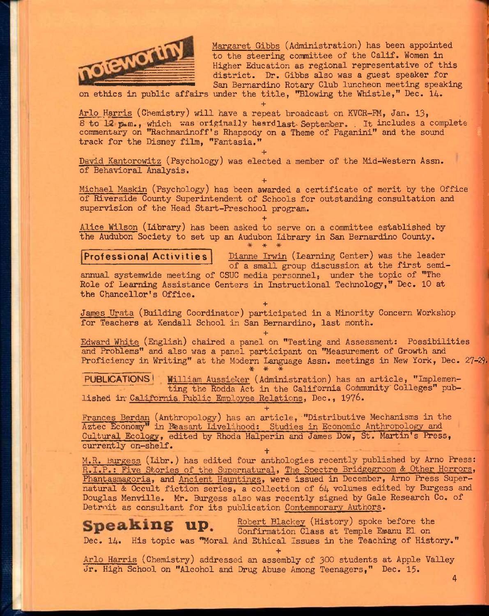

Margaret Gibbs (Administration) has been appointed to the steering committee of the Calif. Women in Higher Education as regional representative of this district. Dr. Gibbs also was a guest speaker for San Bernardino Rotary Club luncheon meeting speaking

on ethics in public affairs under the title, "Blowing the Whistle," Dec. 14.

**+**  Arlo Harris (Chemistry) will have a repeat broadcast on KVCR-FM, Jan. 13, 8 to 12 p.m., which was originally heard last-September. It includes a complete track for the Disney film, "Fantasia." commentary on "Rachmaninoff\*s Rhapsody no Rotary Club Iuncheon meeting speaking<br>itle, "Blowing the Whistle," Dec. 14.<br>eat broadcast on KVCR-FM, Jan. 13,<br>rdlast September. It includes a complete<br>on a Theme of Paganini" and the sound

*+*  David Kantorowitz (Psychology) was elected a member of the Mid-Western Assn. of Behavioral Analysis.

**+**  Michael Maskin (Psychology) has been awarded a certificate of merit by the Office of Riverside County Superintendent of Schools for outstanding consultation and supervision of the Head Start-Preschool program.

**+**  Alice Wilson (Library) has been asked to serve on a committee established by the Audubon Society to set up an Audubon Library in San Bernardino County.

Professional Activities | Dianne Irwin (Learning Center) was the leader of a small group discussion at the first semiannual systemwide meeting of CSUC media personnel, under the topic of "The Role of Learning Assistance Centers in Instructional Technology," Dec. 10 at the Chancellor's Office.

**+**  James Urata (Building Coordinator) participated in a Minority Concern Workshop for Teachers at Kendall School in San Bernardino, last month.

**+**  Edward White (English) chaired a panel on "Testing and Assessment: Possibilities and Problems" and also was a panel participant on "Measurement of Growth and Proficiency in Writing" at the Modern Language Assn. meetings in New York, Dec. 27-29.

PUBLICATIONS<sup>I</sup> William Aussieker (Administration) has an article, "Implementing the Rodda Act in the California Community Colleges" published In'California. Public Employee Relations. Dec., 1976.

**+**  Frances Berdan (Anthropology) has an article, "Distributive Mechanisms in the Aztec Economy" in Beasant Livelihood: Studies in Economic Anthropology and Cultural Ecology, edited by Rhoda Halperin and James Dow, St. Martin's Press, currently on-shelf. ^

M.R. Burgess (idbr,) has edited four anthologies recently published by Arno Press: R.I.P.: Five Stories of the Supernatural. The Spectre Bridgegroom & Other Horrors, Phantasmagoria, and Ancient Hauntings, were issued in December, Arno Press Supernatural & Occult fiction series, a collection of 64 volumes edited by Burgess and Douglas Menville. Mr. Burgess also was recently signed by Gale Research Co. of Detroit as consultant for its publication Contemporary Authors.

 $\text{Speaking up.}$  Robert Blackey (History) spoke before the Confirmation Class at Temple Emanu El on Dec. 14. His topic was "Moral And Ethical Issues in the Teaching of History."

**4** 

**+**  Arlo Harris (Chemistry) addressed an assembly of 300 students at Apple Valley Jr. High School on "Alcohol and Drug Abuse Among Teenagers," Dec. 15.